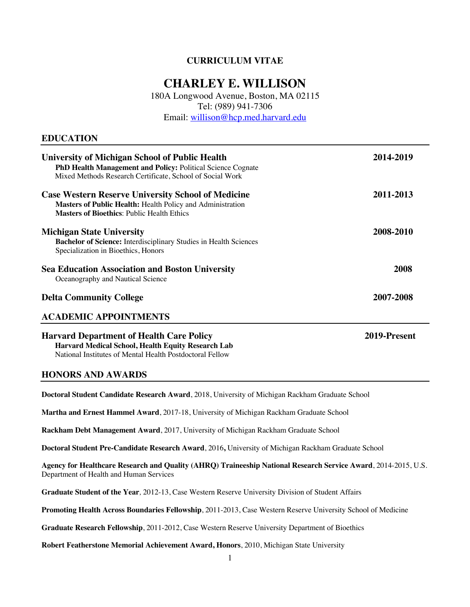# **CURRICULUM VITAE**

# **CHARLEY E. WILLISON**

180A Longwood Avenue, Boston, MA 02115 Tel: (989) 941-7306

Email: willison@hcp.med.harvard.edu

### **EDUCATION**

| <b>University of Michigan School of Public Health</b><br>PhD Health Management and Policy: Political Science Cognate<br>Mixed Methods Research Certificate, School of Social Work   | 2014-2019 |
|-------------------------------------------------------------------------------------------------------------------------------------------------------------------------------------|-----------|
| <b>Case Western Reserve University School of Medicine</b><br><b>Masters of Public Health: Health Policy and Administration</b><br><b>Masters of Bioethics: Public Health Ethics</b> | 2011-2013 |
| <b>Michigan State University</b><br>Bachelor of Science: Interdisciplinary Studies in Health Sciences<br>Specialization in Bioethics, Honors                                        | 2008-2010 |
| <b>Sea Education Association and Boston University</b><br>Oceanography and Nautical Science                                                                                         | 2008      |
| <b>Delta Community College</b>                                                                                                                                                      | 2007-2008 |
| <b>ACADEMIC APPOINTMENTS</b>                                                                                                                                                        |           |

**Harvard Department of Health Care Policy 2019-Present Harvard Medical School, Health Equity Research Lab** National Institutes of Mental Health Postdoctoral Fellow

### **HONORS AND AWARDS**

**Doctoral Student Candidate Research Award**, 2018, University of Michigan Rackham Graduate School

**Martha and Ernest Hammel Award**, 2017-18, University of Michigan Rackham Graduate School

**Rackham Debt Management Award**, 2017, University of Michigan Rackham Graduate School

**Doctoral Student Pre-Candidate Research Award**, 2016**,** University of Michigan Rackham Graduate School

**Agency for Healthcare Research and Quality (AHRQ) Traineeship National Research Service Award**, 2014-2015, U.S. Department of Health and Human Services

**Graduate Student of the Year***,* 2012-13, Case Western Reserve University Division of Student Affairs

**Promoting Health Across Boundaries Fellowship**, 2011-2013, Case Western Reserve University School of Medicine

**Graduate Research Fellowship**, 2011-2012, Case Western Reserve University Department of Bioethics

**Robert Featherstone Memorial Achievement Award, Honors**, 2010, Michigan State University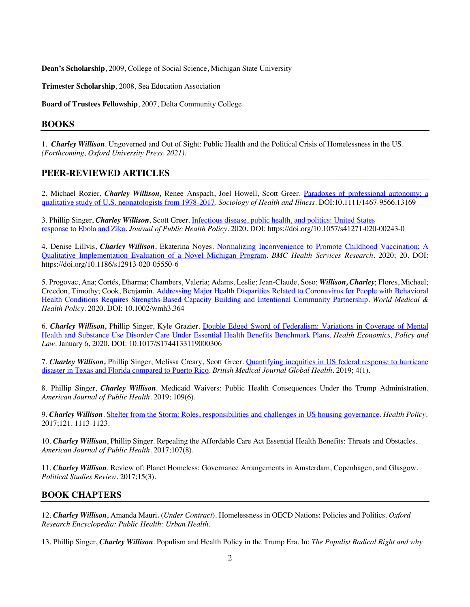**Dean's Scholarship**, 2009, College of Social Science, Michigan State University

**Trimester Scholarship**, 2008, Sea Education Association

**Board of Trustees Fellowship**, 2007, Delta Community College

### **BOOKS**

1. *Charley Willison*. Ungoverned and Out of Sight: Public Health and the Political Crisis of Homelessness in the US. *(Forthcoming, Oxford University Press, 2021)*.

### **PEER-REVIEWED ARTICLES**

2. Michael Rozier, *Charley Willison,* Renee Anspach, Joel Howell, Scott Greer. Paradoxes of professional autonomy: a qualitative study of U.S. neonatologists from 1978-2017. *Sociology of Health and Illness*. DOI:10.1111/1467-9566.13169

3. Phillip Singer, *Charley Willison*, Scott Greer. Infectious disease, public health, and politics: United States response to Ebola and Zika. *Journal of Public Health Policy.* 2020. DOI: https://doi.org/10.1057/s41271-020-00243-0

4. Denise Lillvis, *Charley Willison*, Ekaterina Noyes. Normalizing Inconvenience to Promote Childhood Vaccination: A Qualitative Implementation Evaluation of a Novel Michigan Program. *BMC Health Services Research*. 2020; 20. DOI: https://doi.org/10.1186/s12913-020-05550-6

5. Progovac, Ana; Cortés, Dharma; Chambers, Valeria; Adams, Leslie; Jean-Claude, Soso; *Willison, Charley*; Flores, Michael; Creedon, Timothy; Cook, Benjamin. Addressing Major Health Disparities Related to Coronavirus for People with Behavioral Health Conditions Requires Strengths-Based Capacity Building and Intentional Community Partnership. *World Medical & Health Policy*. 2020. DOI: 10.1002/wmh3.364

6. *Charley Willison,* Phillip Singer, Kyle Grazier. Double Edged Sword of Federalism: Variations in Coverage of Mental Health and Substance Use Disorder Care Under Essential Health Benefits Benchmark Plans. *Health Economics, Policy and Law.* January 6, 2020*.* DOI: 10.1017/S1744133119000306

7. *Charley Willison,* Phillip Singer, Melissa Creary, Scott Greer. Quantifying inequities in US federal response to hurricane disaster in Texas and Florida compared to Puerto Rico. *British Medical Journal Global Health*. 2019; 4(1).

8. Phillip Singer, *Charley Willison*. Medicaid Waivers: Public Health Consequences Under the Trump Administration. *American Journal of Public Health*. 2019; 109(6).

9. *Charley Willison*. Shelter from the Storm: Roles, responsibilities and challenges in US housing governance. *Health Policy*. 2017;121. 1113-1123.

10. *Charley Willison*, Phillip Singer. Repealing the Affordable Care Act Essential Health Benefits: Threats and Obstacles. *American Journal of Public Health*. 2017;107(8).

11. *Charley Willison.* Review of: Planet Homeless: Governance Arrangements in Amsterdam, Copenhagen, and Glasgow*. Political Studies Review*. 2017;15(3).

# **BOOK CHAPTERS**

12. *Charley Willison*, Amanda Mauri*.* (*Under Contract*). Homelessness in OECD Nations: Policies and Politics. *Oxford Research Encyclopedia: Public Health: Urban Health*.

13. Phillip Singer, *Charley Willison*. Populism and Health Policy in the Trump Era. In: *The Populist Radical Right and why*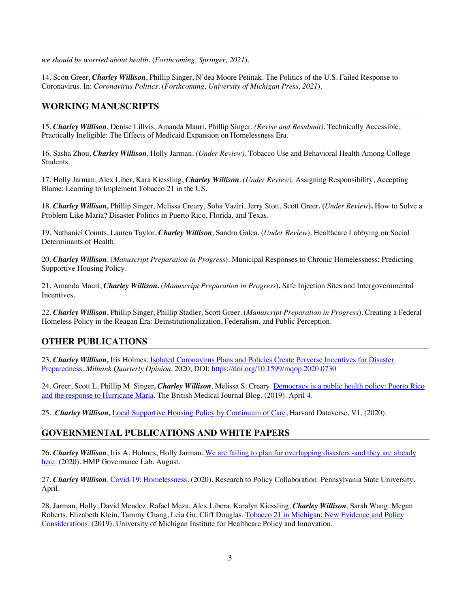*we should be worried about health.* (*Forthcoming, Springer, 2021*).

14. Scott Greer, *Charley Willison*, Phillip Singer, N'dea Moore Petinak. The Politics of the U.S. Failed Response to Coronavirus. In: *Coronavirus Politics.* (*Forthcoming, University of Michigan Press, 2021*).

### **WORKING MANUSCRIPTS**

15. *Charley Willison*, Denise Lillvis, Amanda Mauri, Phillip Singer. *(Revise and Resubmit)*. Technically Accessible, Practically Ineligible: The Effects of Medicaid Expansion on Homelessness Era.

16. Sasha Zhou, *Charley Willison*, Holly Jarman. *(Under Review)*. Tobacco Use and Behavioral Health Among College Students.

17. Holly Jarman, Alex Liber, Kara Kiessling, *Charley Willison*. *(Under Review)*. Assigning Responsibility, Accepting Blame: Learning to Implement Tobacco 21 in the US.

18. *Charley Willison,* Phillip Singer, Melissa Creary, Soha Vaziri, Jerry Stott, Scott Greer*.* **(***Under Review***).** How to Solve a Problem Like Maria? Disaster Politics in Puerto Rico, Florida, and Texas.

19. Nathaniel Counts, Lauren Taylor, *Charley Willison*, Sandro Galea*.* (*Under Review*). Healthcare Lobbying on Social Determinants of Health*.*

20. *Charley Willison*. (*Manuscript Preparation in Progress*). Municipal Responses to Chronic Homelessness: Predicting Supportive Housing Policy.

21. Amanda Mauri, *Charley Willison***.** (*Manuscript Preparation in Progress*)**.** Safe Injection Sites and Intergovernmental Incentives.

22. *Charley Willison*, Phillip Singer, Phillip Stadler, Scott Greer*.* (*Manuscript Preparation in Progress*). Creating a Federal Homeless Policy in the Reagan Era: Deinstitutionalization, Federalism, and Public Perception*.*

# **OTHER PUBLICATIONS**

23. *Charley Willison,* Iris Holmes. Isolated Coronavirus Plans and Policies Create Perverse Incentives for Disaster Preparedness. *Milbank Quarterly Opinion*. 2020; DOI: https://doi.org/10.1599/mqop.2020.0730

24. Greer, Scott L, Phillip M. Singer*, Charley Willison*, Melissa S. Creary. Democracy is a public health policy: Puerto Rico and the response to Hurricane Maria. The British Medical Journal Blog. (2019). April 4.

25. *Charley Willison,* Local Supportive Housing Policy by Continuum of Care, Harvard Dataverse, V1. (2020).

# **GOVERNMENTAL PUBLICATIONS AND WHITE PAPERS**

26. *Charley Willison*, Iris A. Holmes, Holly Jarman. We are failing to plan for overlapping disasters -and they are already here. (2020). HMP Governance Lab. August.

27. *Charley Willison*. Covid-19: Homelessness. (2020). Research to Policy Collaboration. Pennsylvania State University. April.

28. Jarman, Holly, David Mendez, Rafael Meza, Alex Libera, Karalyn Kiessling, *Charley Willison*, Sarah Wang, Megan Roberts, Elizabeth Klein, Tammy Chang, Leia Gu, Cliff Douglas. Tobacco 21 in Michigan: New Evidence and Policy Considerations. (2019). University of Michigan Institute for Healthcare Policy and Innovation.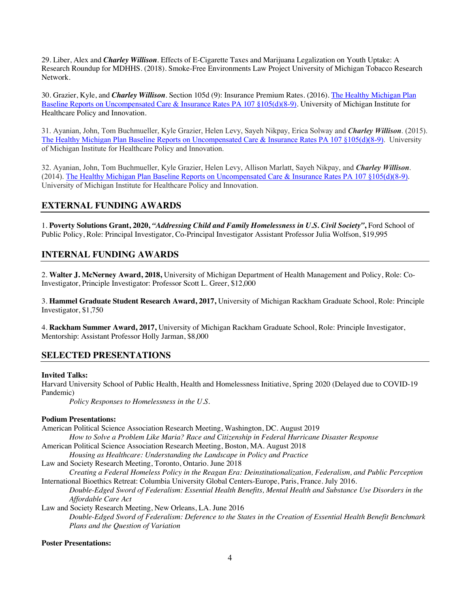29. Liber, Alex and *Charley Willison*. Effects of E-Cigarette Taxes and Marijuana Legalization on Youth Uptake: A Research Roundup for MDHHS. (2018). Smoke-Free Environments Law Project University of Michigan Tobacco Research Network.

30. Grazier, Kyle, and *Charley Willison*. Section 105d (9): Insurance Premium Rates. (2016). The Healthy Michigan Plan Baseline Reports on Uncompensated Care & Insurance Rates PA 107 §105(d)(8-9). University of Michigan Institute for Healthcare Policy and Innovation.

31. Ayanian, John, Tom Buchmueller, Kyle Grazier, Helen Levy, Sayeh Nikpay, Erica Solway and *Charley Willison*. (2015). The Healthy Michigan Plan Baseline Reports on Uncompensated Care & Insurance Rates PA 107 §105(d)(8-9). University of Michigan Institute for Healthcare Policy and Innovation.

32. Ayanian, John, Tom Buchmueller, Kyle Grazier, Helen Levy, Allison Marlatt, Sayeh Nikpay, and *Charley Willison*. (2014). The Healthy Michigan Plan Baseline Reports on Uncompensated Care & Insurance Rates PA 107 §105(d)(8-9). University of Michigan Institute for Healthcare Policy and Innovation.

### **EXTERNAL FUNDING AWARDS**

1. **Poverty Solutions Grant, 2020,** *"Addressing Child and Family Homelessness in U.S. Civil Society"***,** Ford School of Public Policy, Role: Principal Investigator, Co-Principal Investigator Assistant Professor Julia Wolfson, \$19,995

# **INTERNAL FUNDING AWARDS**

2. **Walter J. McNerney Award, 2018,** University of Michigan Department of Health Management and Policy, Role: Co-Investigator, Principle Investigator: Professor Scott L. Greer, \$12,000

3. **Hammel Graduate Student Research Award, 2017,** University of Michigan Rackham Graduate School, Role: Principle Investigator, \$1,750

4. **Rackham Summer Award, 2017,** University of Michigan Rackham Graduate School, Role: Principle Investigator, Mentorship: Assistant Professor Holly Jarman, \$8,000

### **SELECTED PRESENTATIONS**

### **Invited Talks:**

Harvard University School of Public Health, Health and Homelessness Initiative, Spring 2020 (Delayed due to COVID-19 Pandemic)

*Policy Responses to Homelessness in the U.S.*

### **Podium Presentations:**

| American Political Science Association Research Meeting, Washington, DC. August 2019                            |
|-----------------------------------------------------------------------------------------------------------------|
| How to Solve a Problem Like Maria? Race and Citizenship in Federal Hurricane Disaster Response                  |
| American Political Science Association Research Meeting, Boston, MA. August 2018                                |
| Housing as Healthcare: Understanding the Landscape in Policy and Practice                                       |
| Law and Society Research Meeting, Toronto, Ontario. June 2018                                                   |
| Creating a Federal Homeless Policy in the Reagan Era: Deinstitutionalization, Federalism, and Public Perception |
| International Bioethics Retreat: Columbia University Global Centers-Europe, Paris, France. July 2016.           |
| Double-Edged Sword of Federalism: Essential Health Benefits, Mental Health and Substance Use Disorders in the   |
| Affordable Care Act                                                                                             |
| Law and Society Research Meeting, New Orleans, LA. June 2016                                                    |
| Double-Edged Sword of Federalism: Deference to the States in the Creation of Essential Health Benefit Benchmark |
| Plans and the Question of Variation                                                                             |
|                                                                                                                 |

### **Poster Presentations:**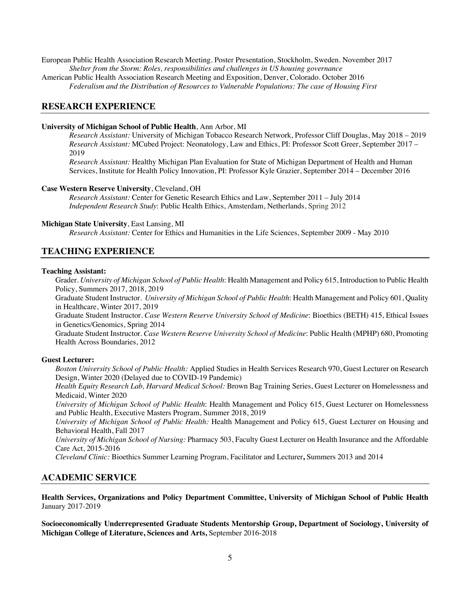European Public Health Association Research Meeting. Poster Presentation, Stockholm, Sweden. November 2017 *Shelter from the Storm: Roles, responsibilities and challenges in US housing governance* American Public Health Association Research Meeting and Exposition, Denver, Colorado. October 2016 *Federalism and the Distribution of Resources to Vulnerable Populations: The case of Housing First*

### **RESEARCH EXPERIENCE**

#### **University of Michigan School of Public Health**, Ann Arbor, MI

*Research Assistant:* University of Michigan Tobacco Research Network, Professor Cliff Douglas, May 2018 – 2019 *Research Assistant:* MCubed Project: Neonatology, Law and Ethics, PI: Professor Scott Greer, September 2017 – 2019

*Research Assistant:* Healthy Michigan Plan Evaluation for State of Michigan Department of Health and Human Services, Institute for Health Policy Innovation, PI: Professor Kyle Grazier, September 2014 – December 2016

#### **Case Western Reserve University**, Cleveland, OH

*Research Assistant:* Center for Genetic Research Ethics and Law, September 2011 – July 2014 *Independent Research Study*: Public Health Ethics, Amsterdam, Netherlands, Spring 2012

#### **Michigan State University**, East Lansing, MI

*Research Assistant:* Center for Ethics and Humanities in the Life Sciences, September 2009 - May 2010

### **TEACHING EXPERIENCE**

#### **Teaching Assistant:**

Grader. *University of Michigan School of Public Health*: Health Management and Policy 615, Introduction to Public Health Policy, Summers 2017, 2018, 2019

Graduate Student Instructor*. University of Michigan School of Public Health*: Health Management and Policy 601, Quality in Healthcare, Winter 2017, 2019

Graduate Student Instructor. *Case Western Reserve University School of Medicine*: Bioethics (BETH) 415, Ethical Issues in Genetics/Genomics, Spring 2014

Graduate Student Instructor. *Case Western Reserve University School of Medicine*: Public Health (MPHP) 680, Promoting Health Across Boundaries, 2012

#### **Guest Lecturer:**

*Boston University School of Public Health:* Applied Studies in Health Services Research 970, Guest Lecturer on Research Design, Winter 2020 (Delayed due to COVID-19 Pandemic)

*Health Equity Research Lab, Harvard Medical School:* Brown Bag Training Series, Guest Lecturer on Homelessness and Medicaid, Winter 2020

*University of Michigan School of Public Health*: Health Management and Policy 615, Guest Lecturer on Homelessness and Public Health, Executive Masters Program, Summer 2018, 2019

*University of Michigan School of Public Health:* Health Management and Policy 615, Guest Lecturer on Housing and Behavioral Health, Fall 2017

*University of Michigan School of Nursing:* Pharmacy 503, Faculty Guest Lecturer on Health Insurance and the Affordable Care Act, 2015-2016

*Cleveland Clinic:* Bioethics Summer Learning Program, Facilitator and Lecturer**,** Summers 2013 and 2014

### **ACADEMIC SERVICE**

**Health Services, Organizations and Policy Department Committee, University of Michigan School of Public Health**  January 2017-2019

**Socioeconomically Underrepresented Graduate Students Mentorship Group, Department of Sociology, University of Michigan College of Literature, Sciences and Arts,** September 2016-2018